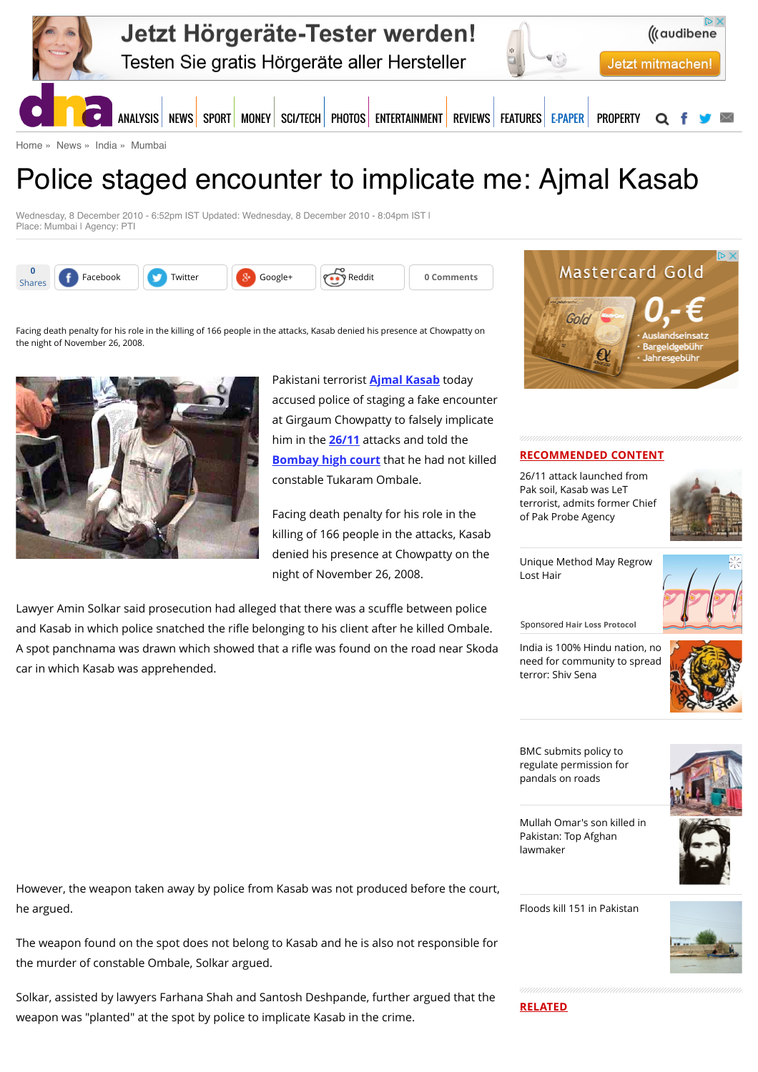

[Home](http://www.dnaindia.com/) » [News](http://www.dnaindia.com/news) » [India](http://www.dnaindia.com/india) » [Mumbai](http://www.dnaindia.com/mumbai)

# Police staged encounter to implicate me: Ajmal Kasab

Wednesday, 8 December 2010 - 6:52pm IST Updated: Wednesday, 8 December 2010 - 8:04pm IST | Place: Mumbai | Agency: PTI





#### **RECOMMENDED CONTENT**

26/11 attack launched from Pak soil, Kasab was LeT [terrorist, admits former Chief](http://www.dnaindia.com/india/report-2611-attack-launched-from-pak-soil-kasab-was-let-terrorist-admits-former-chief-of-pak-probe-agency-2110976) of Pak Probe Agency



[Unique Method May Regrow](https://beap.gemini.yahoo.com/mbclk?bv=1.0.0&es=m9e5dQIGIS96qRGaN1NyzT059ao196kQwMZLan004g0SSwgPsfQUqHF7JunuKiEsfKLU.9.igKjaXclv8PcsfSyqHu3HkwUUWVkCw5Y.a9qVn92Eke1o92bzdQgnJC4ixQspZ_FzeDu.bNn5G6K0nr8x_86vzEU4ulfn8HzLKmVi_y8RzCWmzahjapS2Mh.nSMF4UrDEVSDRZzz19bX.U3NsgrKwGMUIncyPG7NIbkwbkoOXbrFvoH5Q9pSYbHlSNw8XzEhEV0B1M4jKLy5rPFVUwgwKvy1fg9qs60Cy9K4tTYGia1iZunkgMRXnkvU1ojiECK0dWxEhP1ahYf6bp2gncfVuOe9aWk7b.kyJ_NHwB6c.YcGiluh4j67aPL8uNNkjjYGi61Z4XolOeWftTin.hzJoT5VWmo4uvl9KLPzMTaH7F6vA2Xp_n4RWph9PmDZ92kwTLBG2.ossWWs9Qg5qsyaKPZ2.FCDymgg6_ysH88HBb_SP0iB2l_f5oO41jX8b75Iqa1OnMzYfz6qmMC6XOMs-%26lp=) Lost Hair



Sponsored **Hair Loss Protocol**

India is 100% Hindu nation, no [need for community to spread](http://www.dnaindia.com/india/report-india-is-100-hindu-nation-no-need-for-community-to-spread-terror-shiv-sena-2110654) terror: Shiv Sena



BMC submits policy to [regulate permission for](http://www.dnaindia.com/mumbai/report-bmc-submits-policy-to-regulate-permission-for-pandals-on-roads-2110817) pandals on roads



[Mullah Omar's son killed in](http://www.dnaindia.com/world/report-mullah-omar-s-son-killed-in-pakistan-top-afghan-lawmaker-2111096) Pakistan: Top Afghan lawmaker

[Floods kill 151 in Pakistan](http://www.dnaindia.com/world/report-floods-kill-151-in-pakistan-2111086)



Facing death penalty for his role in the killing of 166 people in the attacks, Kasab denied his presence at Chowpatty on the night of November 26, 2008.



Pakistani terrorist **[Ajmal Kasab](http://www.dnaindia.com/topic/ajmal-kasab)** today accused police of staging a fake encounter at Girgaum Chowpatty to falsely implicate him in the **[26/11](http://www.dnaindia.com/topic/2611)** attacks and told the **[Bombay high court](http://www.dnaindia.com/topic/bombay-high-court)** that he had not killed constable Tukaram Ombale.

Facing death penalty for his role in the killing of 166 people in the attacks, Kasab denied his presence at Chowpatty on the night of November 26, 2008.

Lawyer Amin Solkar said prosecution had alleged that there was a scuffle between police and Kasab in which police snatched the rifle belonging to his client after he killed Ombale. A spot panchnama was drawn which showed that a rifle was found on the road near Skoda car in which Kasab was apprehended.

However, the weapon taken away by police from Kasab was not produced before the court, he argued.

The weapon found on the spot does not belong to Kasab and he is also not responsible for the murder of constable Ombale, Solkar argued.

Solkar, assisted by lawyers Farhana Shah and Santosh Deshpande, further argued that the weapon was "planted" at the spot by police to implicate Kasab in the crime.

**RELATED**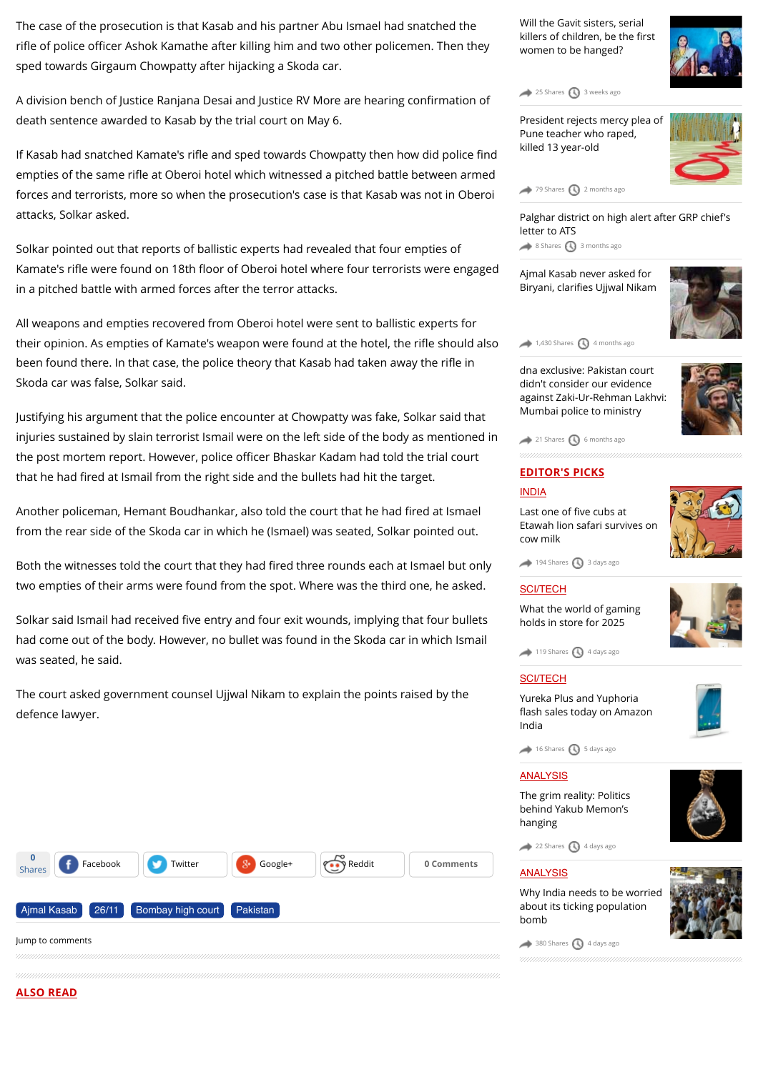The case of the prosecution is that Kasab and his partner Abu Ismael had snatched the rifle of police officer Ashok Kamathe after killing him and two other policemen. Then they sped towards Girgaum Chowpatty after hijacking a Skoda car.

A division bench of Justice Ranjana Desai and Justice RV More are hearing confirmation of death sentence awarded to Kasab by the trial court on May 6.

If Kasab had snatched Kamate's rifle and sped towards Chowpatty then how did police find empties of the same rifle at Oberoi hotel which witnessed a pitched battle between armed forces and terrorists, more so when the prosecution's case is that Kasab was not in Oberoi attacks, Solkar asked.

Solkar pointed out that reports of ballistic experts had revealed that four empties of Kamate's rifle were found on 18th floor of Oberoi hotel where four terrorists were engaged in a pitched battle with armed forces after the terror attacks.

All weapons and empties recovered from Oberoi hotel were sent to ballistic experts for their opinion. As empties of Kamate's weapon were found at the hotel, the rifle should also been found there. In that case, the police theory that Kasab had taken away the rifle in Skoda car was false, Solkar said.

Justifying his argument that the police encounter at Chowpatty was fake, Solkar said that injuries sustained by slain terrorist Ismail were on the left side of the body as mentioned in the post mortem report. However, police officer Bhaskar Kadam had told the trial court that he had fired at Ismail from the right side and the bullets had hit the target.

Another policeman, Hemant Boudhankar, also told the court that he had fired at Ismael from the rear side of the Skoda car in which he (Ismael) was seated, Solkar pointed out.

Both the witnesses told the court that they had fired three rounds each at Ismael but only two empties of their arms were found from the spot. Where was the third one, he asked.

Solkar said Ismail had received five entry and four exit wounds, implying that four bullets had come out of the body. However, no bullet was found in the Skoda car in which Ismail was seated, he said.

The court asked government counsel Ujjwal Nikam to explain the points raised by the defence lawyer.



[Will the Gavit sisters, serial](http://www.dnaindia.com/mumbai/report-will-the-gavit-sisters-serial-killers-of-children-be-the-first-women-to-be-hanged-2102974) killers of children, be the first women to be hanged?

 $25$  Shares  $\bigcirc$  [3 weeks ago](http://www.dnaindia.com/mumbai/report-police-staged-encounter-to-implicate-me-ajmal-kasab-1478550#)

[President rejects mercy plea of](http://www.dnaindia.com/mumbai/report-noose-for-pune-teacher-who-raped-killed-minor-2090711) Pune teacher who raped, killed 13 year-old



[79 Shares](http://www.dnaindia.com/mumbai/report-police-staged-encounter-to-implicate-me-ajmal-kasab-1478550#) **3** [2 months ago](http://www.dnaindia.com/mumbai/report-police-staged-encounter-to-implicate-me-ajmal-kasab-1478550#)

[Palghar district on high alert after GRP chief's](http://www.dnaindia.com/mumbai/report-palghar-district-on-high-alert-after-grp-chief-s-letter-to-ats-2078108) letter to ATS [8 Shares](http://www.dnaindia.com/mumbai/report-police-staged-encounter-to-implicate-me-ajmal-kasab-1478550#) [3 months ago](http://www.dnaindia.com/mumbai/report-police-staged-encounter-to-implicate-me-ajmal-kasab-1478550#)

[Ajmal Kasab never asked for](http://www.dnaindia.com/mumbai/report-ajmal-kasab-never-asked-for-biryani-clarifies-ujjwal-nikam-2070583) Biryani, clarifies Ujjwal Nikam



dna exclusive: Pakistan court didn't consider our evidence [against Zaki-Ur-Rehman Lakhvi:](http://www.dnaindia.com/mumbai/report-dna-exclusive-pakistan-court-didn-t-consider-our-evidence-against-zaki-ur-rehman-lakhvi-mumbai-police-to-ministry-2054355) Mumbai police to ministry

 $1,430$  Shares  $\bigodot$  [4 months ago](http://www.dnaindia.com/mumbai/report-police-staged-encounter-to-implicate-me-ajmal-kasab-1478550#)



## **EDITOR'S PICKS**

 $21$  Shares  $\bigcirc$  [6 months ago](http://www.dnaindia.com/mumbai/report-police-staged-encounter-to-implicate-me-ajmal-kasab-1478550#)

### [INDIA](http://www.dnaindia.com/india)

Last one of five cubs at [Etawah lion safari survives on](http://www.dnaindia.com/india/report-last-one-of-five-cubs-at-etawah-lion-safari-survives-on-cow-milk-2109981) cow milk



 $194$  Shares  $\bigodot$  [3 days ago](http://www.dnaindia.com/mumbai/report-police-staged-encounter-to-implicate-me-ajmal-kasab-1478550#)

#### **[SCI/TECH](http://www.dnaindia.com/scitech)**

[What the world of gaming](http://www.dnaindia.com/scitech/report-immersion-is-the-name-of-the-game-2109432) holds in store for 2025



 $\rightarrow$  [119 Shares](http://www.dnaindia.com/mumbai/report-police-staged-encounter-to-implicate-me-ajmal-kasab-1478550#)  $\bigcirc$  [4 days ago](http://www.dnaindia.com/mumbai/report-police-staged-encounter-to-implicate-me-ajmal-kasab-1478550#)

#### [SCI/TECH](http://www.dnaindia.com/scitech)

Yureka Plus and Yuphoria fl[ash sales today on Amazon](http://www.dnaindia.com/scitech/report-yureka-plus-and-yuphoria-flash-sales-today-on-amazon-india-2109499) India



 $\leftrightarrow$  [16 Shares](http://www.dnaindia.com/mumbai/report-police-staged-encounter-to-implicate-me-ajmal-kasab-1478550#)  $\bigcirc$  [5 days ago](http://www.dnaindia.com/mumbai/report-police-staged-encounter-to-implicate-me-ajmal-kasab-1478550#)

#### [ANALYSIS](http://www.dnaindia.com/analysis)

[The grim reality: Politics](http://www.dnaindia.com/analysis/editorial-the-grim-reality-politics-behind-yakub-memon-s-hanging-2109659) behind Yakub Memon's hanging

 $22$  Shares  $\bigcirc$  [4 days ago](http://www.dnaindia.com/mumbai/report-police-staged-encounter-to-implicate-me-ajmal-kasab-1478550#)

 $380$  Shares  $\bigcirc$  [4 days ago](http://www.dnaindia.com/mumbai/report-police-staged-encounter-to-implicate-me-ajmal-kasab-1478550#)

#### [ANALYSIS](http://www.dnaindia.com/analysis)

[Why India needs to be worried](http://www.dnaindia.com/analysis/editorial-dnaedit-population-bomb-2109662) about its ticking population bomb

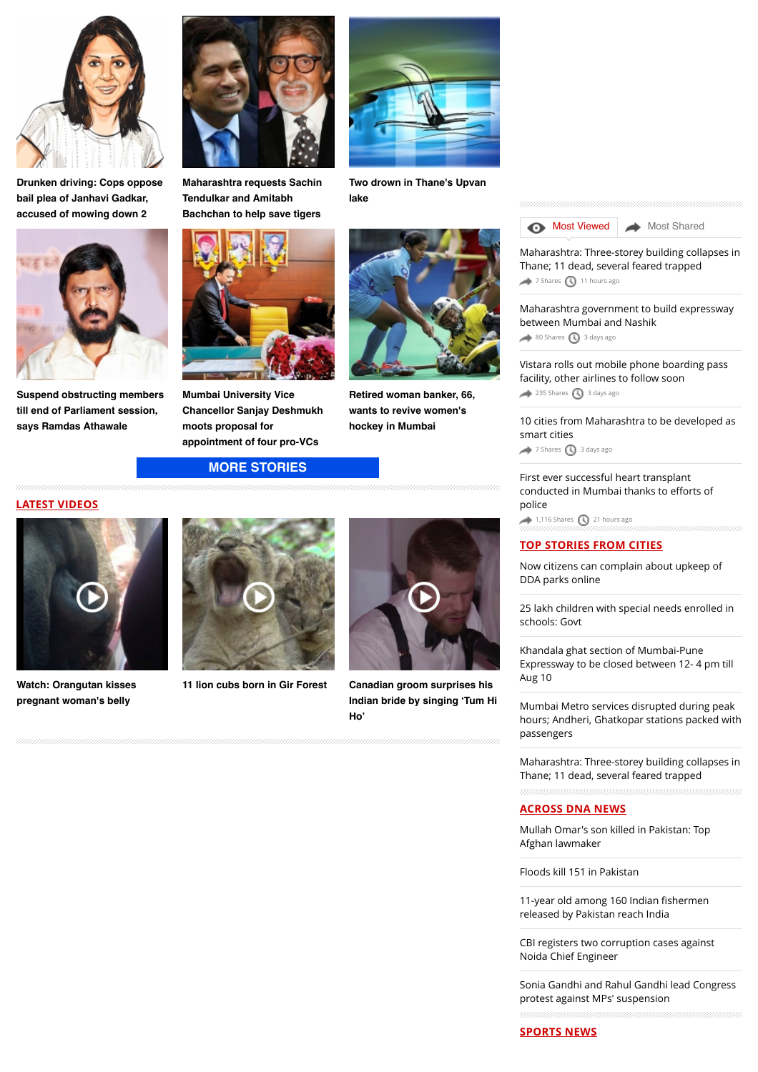

**[Drunken driving: Cops oppose](http://www.dnaindia.com/mumbai/report-drunken-driving-cops-oppose-bail-plea-of-janhavi-gadkar-accused-of-mowing-down-2-2110873) bail plea of Janhavi Gadkar, accused of mowing down 2**



**[Suspend obstructing members](http://www.dnaindia.com/mumbai/report-suspend-obstructing-members-till-end-of-parliament-session-says-ramdas-athawale-2110708) till end of Parliament session, says Ramdas Athawale**



**[Maharashtra requests Sachin](http://www.dnaindia.com/mumbai/report-maharashtra-requests-sachin-tendulkar-and-amitabh-bachchan-to-help-save-tigers-2110838) Tendulkar and Amitabh Bachchan to help save tigers**



**Mumbai University Vice [Chancellor Sanjay Deshmukh](http://www.dnaindia.com/mumbai/report-mumbai-university-vice-chancellor-sanjay-deshmukh-moots-proposal-for-appointment-of-four-pro-vcs-2110578) moots proposal for appointment of four pro-VCs**

**[MORE STORIES](http://www.dnaindia.com/mumbai)**





**[Watch: Orangutan kisses](http://www.dnaindia.com/world/video-watch-orangutan-kisses-pregnant-woman-s-belly-2109068) pregnant woman's belly**





**[Retired woman banker, 66,](http://www.dnaindia.com/mumbai/report-retired-woman-banker-66-wants-to-revive-women-s-hockey-in-mumbai-2110524) wants to revive women's hockey in Mumbai**

**[11 lion cubs born in Gir Forest](http://www.dnaindia.com/india/video-11-lion-cubs-born-in-gir-forest-2105493) Canadian groom surprises his [Indian bride by singing 'Tum Hi](http://www.dnaindia.com/world/video-canadian-groom-surprises-his-indian-bride-by-singing-tum-hi-ho-2104831) Ho'**



**[Two drown in Thane's Upvan](http://www.dnaindia.com/mumbai/report-two-drown-in-thane-s-upvan-lake-2110740) lake**



[Maharashtra: Three-storey building collapses in](http://www.dnaindia.com/mumbai/report-maharashtra-three-storey-building-collapses-in-thane-11-dead-several-feared-trapped-2110890) Thane; 11 dead, several feared trapped [7 Shares](http://www.dnaindia.com/mumbai/report-police-staged-encounter-to-implicate-me-ajmal-kasab-1478550#) **[11 hours ago](http://www.dnaindia.com/mumbai/report-police-staged-encounter-to-implicate-me-ajmal-kasab-1478550#)** 

[Maharashtra government to build expressway](http://www.dnaindia.com/mumbai/report-maharashtra-government-to-build-expressway-between-mumbai-and-nashik-2109935) between Mumbai and Nashik

[80 Shares](http://www.dnaindia.com/mumbai/report-police-staged-encounter-to-implicate-me-ajmal-kasab-1478550#) [3 days ago](http://www.dnaindia.com/mumbai/report-police-staged-encounter-to-implicate-me-ajmal-kasab-1478550#)

[Vistara rolls out mobile phone boarding pass](http://www.dnaindia.com/mumbai/report-vistara-rolls-out-mobile-phone-boarding-pass-facility-other-airlines-to-follow-soon-2109930) facility, other airlines to follow soon  $235$  Shares  $\bigodot$  [3 days ago](http://www.dnaindia.com/mumbai/report-police-staged-encounter-to-implicate-me-ajmal-kasab-1478550#)

[10 cities from Maharashtra to be developed as](http://www.dnaindia.com/mumbai/report-10-cities-from-maharashtra-to-be-developed-as-smart-cities-2109979) smart cities  $\rightarrow$  [7 Shares](http://www.dnaindia.com/mumbai/report-police-staged-encounter-to-implicate-me-ajmal-kasab-1478550#)  $\bigcirc$  [3 days ago](http://www.dnaindia.com/mumbai/report-police-staged-encounter-to-implicate-me-ajmal-kasab-1478550#)

[First ever successful heart transplant](http://www.dnaindia.com/mumbai/report-first-ever-successful-heart-transplant-conducted-in-mumbai-thanks-to-efforts-of-police-2110832) conducted in Mumbai thanks to efforts of police  $1,116$  Shares  $\bigcirc$  [21 hours ago](http://www.dnaindia.com/mumbai/report-police-staged-encounter-to-implicate-me-ajmal-kasab-1478550#)

#### **TOP STORIES FROM CITIES**

[Now citizens can complain about upkeep of](http://www.dnaindia.com/delhi/report-now-citizens-can-complain-about-upkeep-of-dda-parks-online-2110992) DDA parks online

[25 lakh children with special needs enrolled in](http://www.dnaindia.com/delhi/report-25-lakh-children-with-special-needs-enrolled-in-schools-govt-2110985) schools: Govt

Khandala ghat section of Mumbai-Pune [Expressway to be closed between 12- 4 pm till](http://www.dnaindia.com/mumbai/report-khandala-ghat-section-of-mumbai-pune-expressway-to-be-closed-from-12-4-pm-till-aug-10-2110914) Aug 10

Mumbai Metro services disrupted during peak [hours; Andheri, Ghatkopar stations packed with](http://www.dnaindia.com/mumbai/report-mumbai-metro-services-disrupted-during-peak-hours-andheri-ghatkopar-stations-packed-with-passengers-2110918) passengers

[Maharashtra: Three-storey building collapses in](http://www.dnaindia.com/mumbai/report-maharashtra-three-storey-building-collapses-in-thane-11-dead-several-feared-trapped-2110890) Thane; 11 dead, several feared trapped

#### **ACROSS DNA NEWS**

[Mullah Omar's son killed in Pakistan: Top](http://www.dnaindia.com/world/report-mullah-omar-s-son-killed-in-pakistan-top-afghan-lawmaker-2111096) Afghan lawmaker

[Floods kill 151 in Pakistan](http://www.dnaindia.com/world/report-floods-kill-151-in-pakistan-2111086)

11-year old among 160 Indian fishermen [released by Pakistan reach India](http://www.dnaindia.com/india/report-11-year-old-among-160-indian-fishermen-released-by-pakistan-reach-india-2111069)

[CBI registers two corruption cases against](http://www.dnaindia.com/india/report-cbi-registers-two-corruption-cases-against-noida-chief-engineer-2111064) Noida Chief Engineer

[Sonia Gandhi and Rahul Gandhi lead Congress](http://www.dnaindia.com/india/report-sonia-gandhi-and-rahul-gandhi-lead-congress-protest-against-mps-suspension-2111039) protest against MPs' suspension

**SPORTS NEWS**